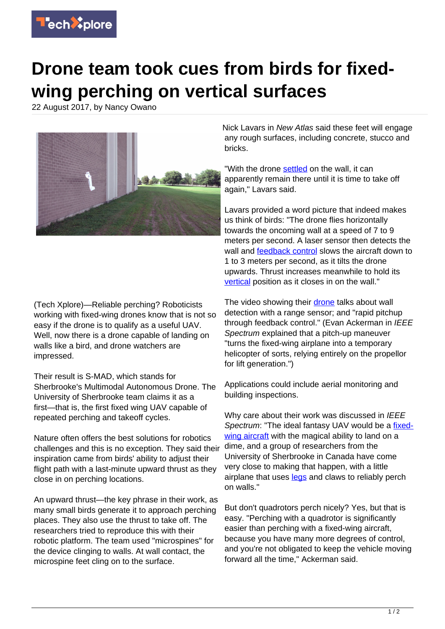

## **Drone team took cues from birds for fixedwing perching on vertical surfaces**

22 August 2017, by Nancy Owano



(Tech Xplore)—Reliable perching? Roboticists working with fixed-wing drones know that is not so easy if the drone is to qualify as a useful UAV. Well, now there is a drone capable of landing on walls like a bird, and drone watchers are impressed.

Their result is S-MAD, which stands for Sherbrooke's Multimodal Autonomous Drone. The University of Sherbrooke team claims it as a first—that is, the first fixed wing UAV capable of repeated perching and takeoff cycles.

Nature often offers the best solutions for robotics challenges and this is no exception. They said their inspiration came from birds' ability to adjust their flight path with a last-minute upward thrust as they close in on perching locations.

An upward thrust—the key phrase in their work, as many small birds generate it to approach perching places. They also use the thrust to take off. The researchers tried to reproduce this with their robotic platform. The team used "microspines" for the device clinging to walls. At wall contact, the microspine feet cling on to the surface.

Nick Lavars in New Atlas said these feet will engage any rough surfaces, including concrete, stucco and bricks.

"With the drone [settled](http://newatlas.com/s-mad-drone-lands-walls/50813/) on the wall, it can apparently remain there until it is time to take off again," Lavars said.

Lavars provided a word picture that indeed makes us think of birds: "The drone flies horizontally towards the oncoming wall at a speed of 7 to 9 meters per second. A laser sensor then detects the wall and [feedback control](https://techxplore.com/tags/feedback+control/) slows the aircraft down to 1 to 3 meters per second, as it tilts the drone upwards. Thrust increases meanwhile to hold its [vertical](http://newatlas.com/s-mad-drone-lands-walls/50813/) position as it closes in on the wall."

The video showing their [drone](https://techxplore.com/tags/drone/) talks about wall detection with a range sensor; and "rapid pitchup through feedback control." (Evan Ackerman in IEEE Spectrum explained that a pitch-up maneuver "turns the fixed-wing airplane into a temporary helicopter of sorts, relying entirely on the propellor for lift generation.")

Applications could include aerial monitoring and building inspections.

Why care about their work was discussed in IEEE Spectrum: "The ideal fantasy UAV would be a [fixed](https://techxplore.com/tags/fixed-wing+aircraft/)[wing aircraft](https://techxplore.com/tags/fixed-wing+aircraft/) with the magical ability to land on a dime, and a group of researchers from the University of Sherbrooke in Canada have come very close to making that happen, with a little airplane that uses [legs](http://spectrum.ieee.org/automaton/robotics/drones/reliable-perching-makes-fixedwing-uavs-much-more-useful) and claws to reliably perch on walls."

But don't quadrotors perch nicely? Yes, but that is easy. "Perching with a quadrotor is significantly easier than perching with a fixed-wing aircraft, because you have many more degrees of control, and you're not obligated to keep the vehicle moving forward all the time," Ackerman said.